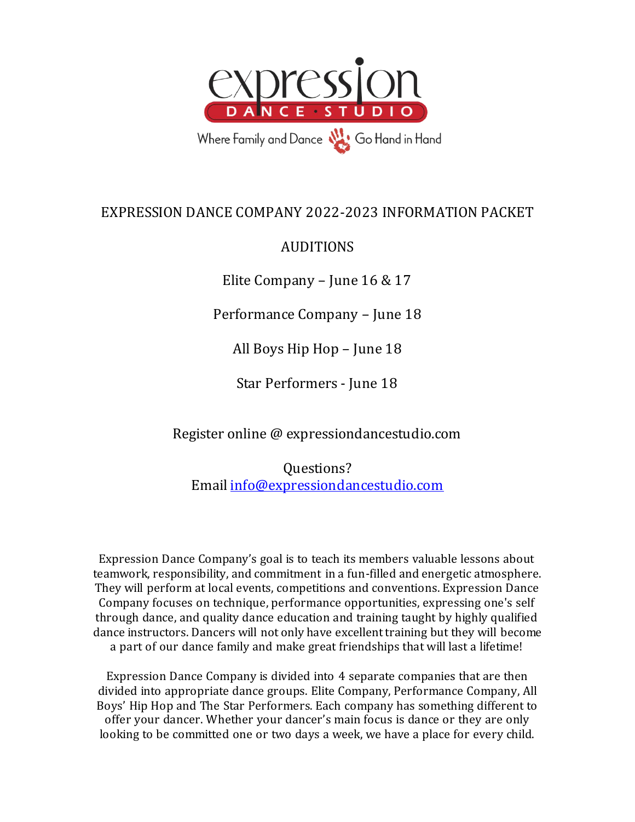

# EXPRESSION DANCE COMPANY 2022-2023 INFORMATION PACKET

# AUDITIONS

Elite Company – June 16 & 17

Performance Company – June 18

All Boys Hip Hop – June 18

Star Performers - June 18

Register online @ expressiondancestudio.com

Questions? Email [info@expressiondancestudio.com](mailto:info@expressiondancestudio.com)

Expression Dance Company's goal is to teach its members valuable lessons about teamwork, responsibility, and commitment in a fun-filled and energetic atmosphere. They will perform at local events, competitions and conventions. Expression Dance Company focuses on technique, performance opportunities, expressing one's self through dance, and quality dance education and training taught by highly qualified dance instructors. Dancers will not only have excellent training but they will become a part of our dance family and make great friendships that will last a lifetime!

Expression Dance Company is divided into 4 separate companies that are then divided into appropriate dance groups. Elite Company, Performance Company, All Boys' Hip Hop and The Star Performers. Each company has something different to offer your dancer. Whether your dancer's main focus is dance or they are only looking to be committed one or two days a week, we have a place for every child.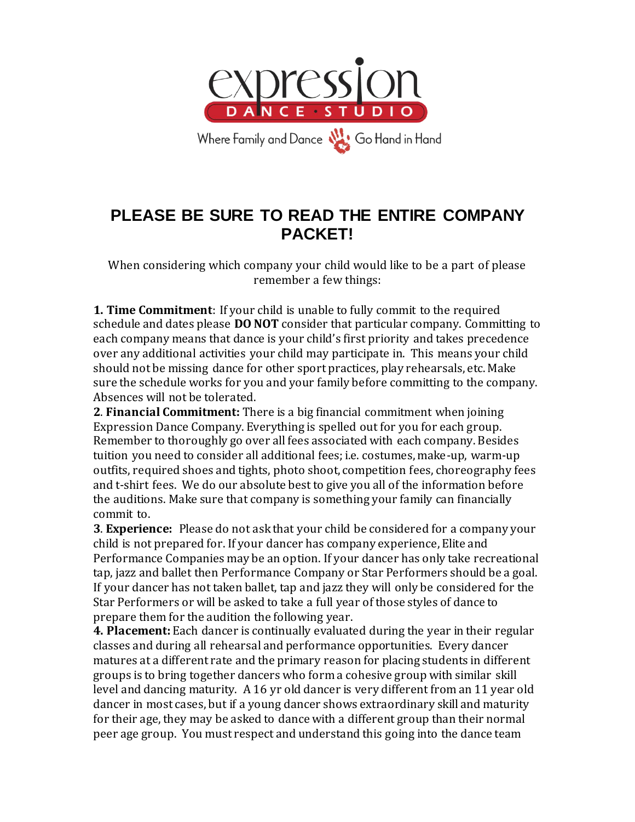

# **PLEASE BE SURE TO READ THE ENTIRE COMPANY PACKET!**

When considering which company your child would like to be a part of please remember a few things:

**1. Time Commitment**: If your child is unable to fully commit to the required schedule and dates please **DO NOT** consider that particular company. Committing to each company means that dance is your child's first priority and takes precedence over any additional activities your child may participate in. This means your child should not be missing dance for other sport practices, play rehearsals, etc. Make sure the schedule works for you and your family before committing to the company. Absences will not be tolerated.

**2**. **Financial Commitment:** There is a big financial commitment when joining Expression Dance Company. Everything is spelled out for you for each group. Remember to thoroughly go over all fees associated with each company. Besides tuition you need to consider all additional fees; i.e. costumes, make-up, warm-up outfits, required shoes and tights, photo shoot, competition fees, choreography fees and t-shirt fees. We do our absolute best to give you all of the information before the auditions. Make sure that company is something your family can financially commit to.

**3**. **Experience:** Please do not ask that your child be considered for a company your child is not prepared for. If your dancer has company experience, Elite and Performance Companies may be an option. If your dancer has only take recreational tap, jazz and ballet then Performance Company or Star Performers should be a goal. If your dancer has not taken ballet, tap and jazz they will only be considered for the Star Performers or will be asked to take a full year of those styles of dance to prepare them for the audition the following year.

**4. Placement:** Each dancer is continually evaluated during the year in their regular classes and during all rehearsal and performance opportunities. Every dancer matures at a different rate and the primary reason for placing students in different groups is to bring together dancers who form a cohesive group with similar skill level and dancing maturity. A 16 yr old dancer is very different from an 11 year old dancer in most cases, but if a young dancer shows extraordinary skill and maturity for their age, they may be asked to dance with a different group than their normal peer age group. You must respect and understand this going into the dance team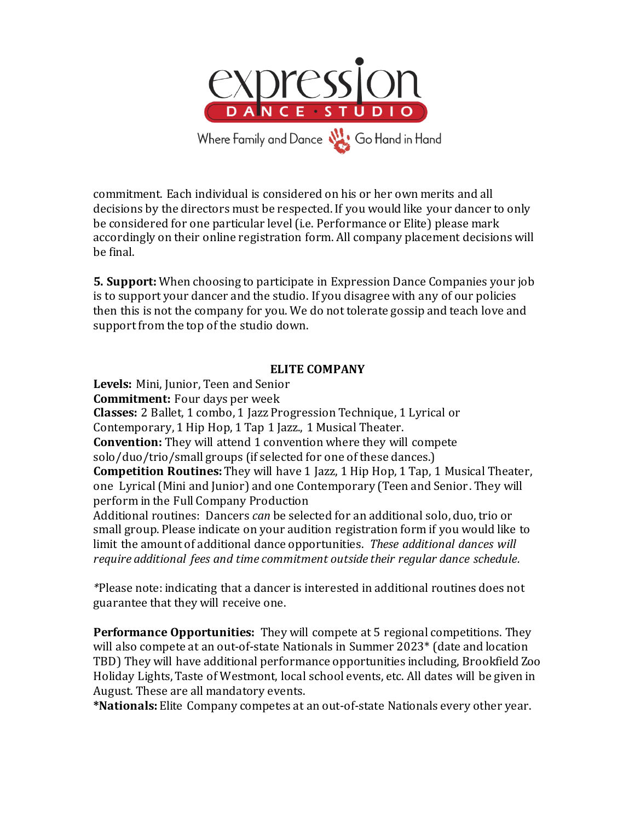

commitment. Each individual is considered on his or her own merits and all decisions by the directors must be respected. If you would like your dancer to only be considered for one particular level (i.e. Performance or Elite) please mark accordingly on their online registration form. All company placement decisions will be final.

**5. Support:** When choosing to participate in Expression Dance Companies your job is to support your dancer and the studio. If you disagree with any of our policies then this is not the company for you. We do not tolerate gossip and teach love and support from the top of the studio down.

### **ELITE COMPANY**

**Levels:** Mini, Junior, Teen and Senior **Commitment:** Four days per week **Classes:** 2 Ballet, 1 combo, 1 Jazz Progression Technique, 1 Lyrical or Contemporary, 1 Hip Hop, 1 Tap 1 Jazz., 1 Musical Theater. **Convention:** They will attend 1 convention where they will compete solo/duo/trio/small groups (if selected for one of these dances.) **Competition Routines:** They will have 1 Jazz, 1 Hip Hop, 1 Tap, 1 Musical Theater, one Lyrical (Mini and Junior) and one Contemporary (Teen and Senior. They will perform in the Full Company Production Additional routines: Dancers *can* be selected for an additional solo, duo, trio or small group. Please indicate on your audition registration form if you would like to limit the amount of additional dance opportunities. *These additional dances will require additional fees and time commitment outside their regular dance schedule.*

*\**Please note: indicating that a dancer is interested in additional routines does not guarantee that they will receive one.

**Performance Opportunities:** They will compete at 5 regional competitions. They will also compete at an out-of-state Nationals in Summer 2023\* (date and location TBD) They will have additional performance opportunities including, Brookfield Zoo Holiday Lights, Taste of Westmont, local school events, etc. All dates will be given in August. These are all mandatory events.

**\*Nationals:** Elite Company competes at an out-of-state Nationals every other year.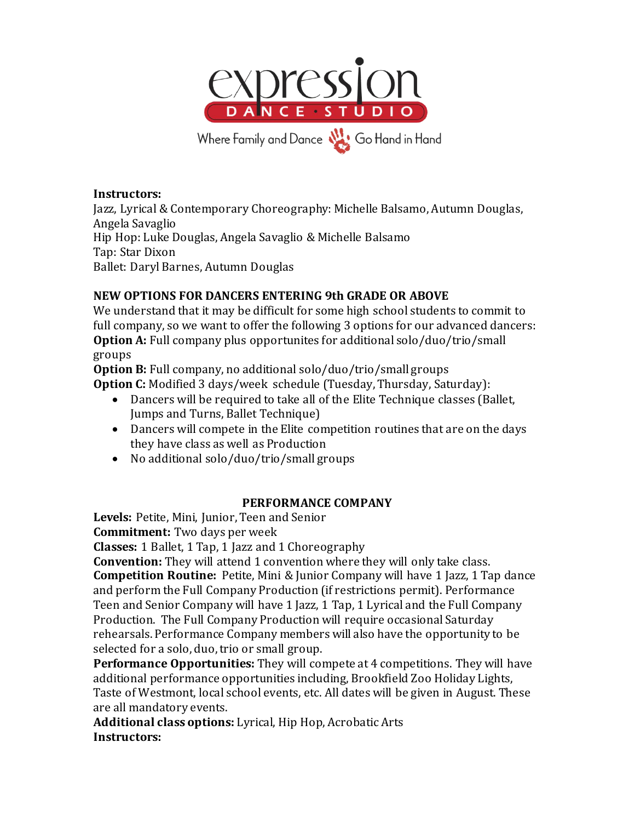

#### **Instructors:**

Jazz, Lyrical & Contemporary Choreography: Michelle Balsamo, Autumn Douglas, Angela Savaglio Hip Hop: Luke Douglas, Angela Savaglio & Michelle Balsamo Tap: Star Dixon Ballet: Daryl Barnes, Autumn Douglas

### **NEW OPTIONS FOR DANCERS ENTERING 9th GRADE OR ABOVE**

We understand that it may be difficult for some high school students to commit to full company, so we want to offer the following 3 options for our advanced dancers: **Option A:** Full company plus opportunites for additional solo/duo/trio/small groups

**Option B:** Full company, no additional solo/duo/trio/small groups **Option C:** Modified 3 days/week schedule (Tuesday, Thursday, Saturday):

- Dancers will be required to take all of the Elite Technique classes (Ballet, Jumps and Turns, Ballet Technique)
- Dancers will compete in the Elite competition routines that are on the days they have class as well as Production
- No additional solo/duo/trio/small groups

### **PERFORMANCE COMPANY**

**Levels:** Petite, Mini, Junior, Teen and Senior

**Commitment:** Two days per week

**Classes:** 1 Ballet, 1 Tap, 1 Jazz and 1 Choreography

**Convention:** They will attend 1 convention where they will only take class.

**Competition Routine:** Petite, Mini & Junior Company will have 1 Jazz, 1 Tap dance and perform the Full Company Production (if restrictions permit). Performance Teen and Senior Company will have 1 Jazz, 1 Tap, 1 Lyrical and the Full Company Production. The Full Company Production will require occasional Saturday rehearsals. Performance Company members will also have the opportunity to be selected for a solo, duo, trio or small group.

**Performance Opportunities:** They will compete at 4 competitions. They will have additional performance opportunities including, Brookfield Zoo Holiday Lights, Taste of Westmont, local school events, etc. All dates will be given in August. These are all mandatory events.

**Additional class options:** Lyrical, Hip Hop, Acrobatic Arts **Instructors:**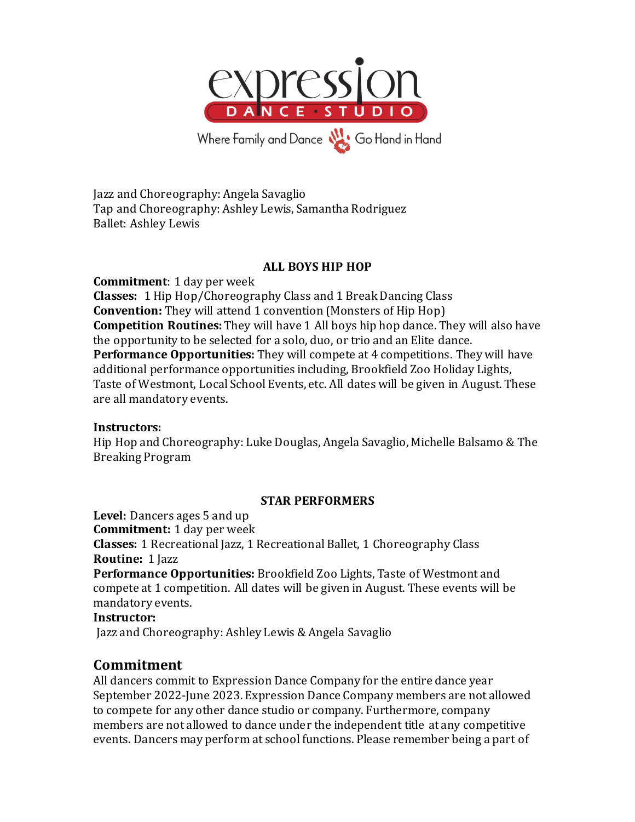

Jazz and Choreography: Angela Savaglio Tap and Choreography: Ashley Lewis, Samantha Rodriguez Ballet: Ashley Lewis

### **ALL BOYS HIP HOP**

**Commitment**: 1 day per week **Classes:** 1 Hip Hop/Choreography Class and 1 Break Dancing Class **Convention:** They will attend 1 convention (Monsters of Hip Hop) **Competition Routines:** They will have 1 All boys hip hop dance. They will also have the opportunity to be selected for a solo, duo, or trio and an Elite dance. **Performance Opportunities:** They will compete at 4 competitions. They will have additional performance opportunities including, Brookfield Zoo Holiday Lights, Taste of Westmont, Local School Events, etc. All dates will be given in August. These are all mandatory events.

#### **Instructors:**

Hip Hop and Choreography: Luke Douglas, Angela Savaglio, Michelle Balsamo & The Breaking Program

### **STAR PERFORMERS**

**Level:** Dancers ages 5 and up **Commitment:** 1 day per week **Classes:** 1 Recreational Jazz, 1 Recreational Ballet, 1 Choreography Class **Routine:** 1 Jazz **Performance Opportunities:** Brookfield Zoo Lights, Taste of Westmont and compete at 1 competition. All dates will be given in August. These events will be

mandatory events.

#### **Instructor:**

Jazz and Choreography: Ashley Lewis & Angela Savaglio

### **Commitment**

All dancers commit to Expression Dance Company for the entire dance year September 2022-June 2023. Expression Dance Company members are not allowed to compete for any other dance studio or company. Furthermore, company members are not allowed to dance under the independent title at any competitive events. Dancers may perform at school functions. Please remember being a part of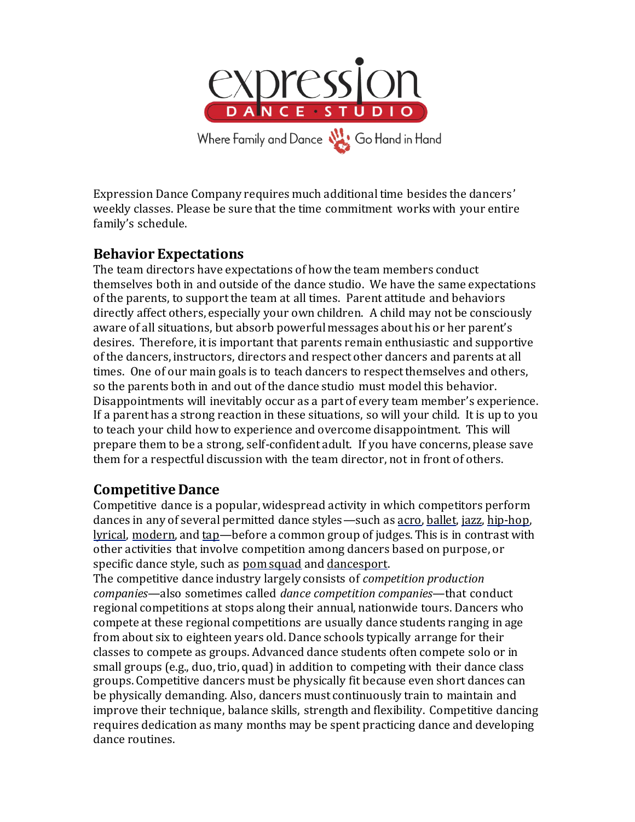

Expression Dance Company requires much additional time besides the dancers' weekly classes. Please be sure that the time commitment works with your entire family's schedule.

# **Behavior Expectations**

The team directors have expectations of how the team members conduct themselves both in and outside of the dance studio. We have the same expectations of the parents, to support the team at all times. Parent attitude and behaviors directly affect others, especially your own children. A child may not be consciously aware of all situations, but absorb powerful messages about his or her parent's desires. Therefore, it is important that parents remain enthusiastic and supportive of the dancers, instructors, directors and respect other dancers and parents at all times. One of our main goals is to teach dancers to respect themselves and others, so the parents both in and out of the dance studio must model this behavior. Disappointments will inevitably occur as a part of every team member's experience. If a parent has a strong reaction in these situations, so will your child. It is up to you to teach your child how to experience and overcome disappointment. This will prepare them to be a strong, self-confident adult. If you have concerns, please save them for a respectful discussion with the team director, not in front of others.

# **Competitive Dance**

Competitive dance is a popular, widespread activity in which competitors perform dances in any of several permitted dance styles—such a[s acro](http://www.answers.com/topic/acro-dance)[, ballet,](http://www.answers.com/topic/ballet) [jazz,](http://www.answers.com/topic/jazz-dance) [hip-hop,](http://www.answers.com/topic/hip-hop-dance) [lyrical,](http://www.answers.com/topic/lyrical-dance) [modern,](http://www.answers.com/topic/modern-dance) an[d tap](http://www.answers.com/topic/tap-dance)—before a common group of judges. This is in contrast with other activities that involve competition among dancers based on purpose, or specific dance style, such as [pom squad](http://www.answers.com/topic/dance-squad) an[d dancesport.](http://www.answers.com/topic/dancesport-1)

The competitive dance industry largely consists of *competition production companies*—also sometimes called *dance competition companies*—that conduct regional competitions at stops along their annual, nationwide tours. Dancers who compete at these regional competitions are usually dance students ranging in age from about six to eighteen years old. Dance schools typically arrange for their classes to compete as groups. Advanced dance students often compete solo or in small groups (e.g., duo, trio, quad) in addition to competing with their dance class groups. Competitive dancers must be physically fit because even short dances can be physically demanding. Also, dancers must continuously train to maintain and improve their technique, balance skills, strength and flexibility. Competitive dancing requires dedication as many months may be spent practicing dance and developing dance routines.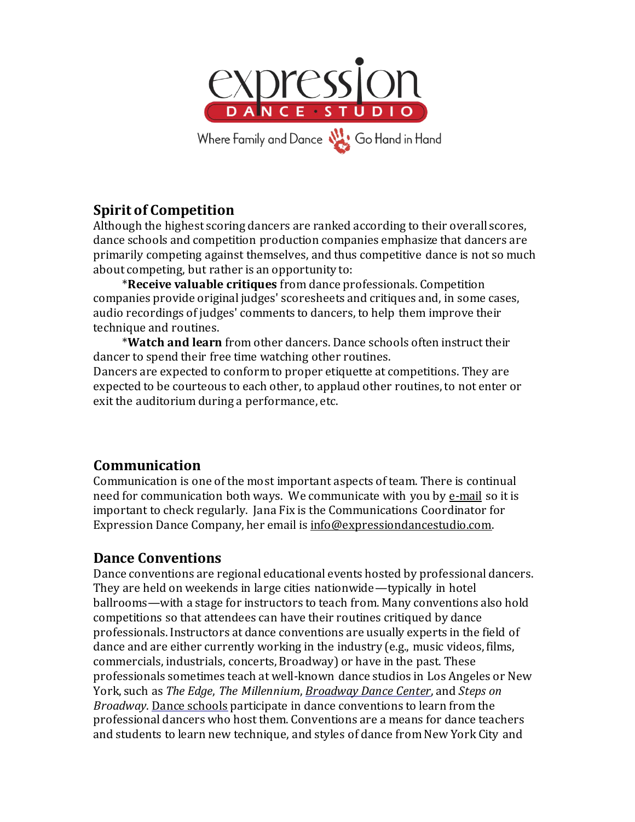

# **Spirit of Competition**

Although the highest scoring dancers are ranked according to their overall scores, dance schools and competition production companies emphasize that dancers are primarily competing against themselves, and thus competitive dance is not so much about competing, but rather is an opportunity to:

\***Receive valuable critiques** from dance professionals. Competition companies provide original judges' scoresheets and critiques and, in some cases, audio recordings of judges' comments to dancers, to help them improve their technique and routines.

\***Watch and learn** from other dancers. Dance schools often instruct their dancer to spend their free time watching other routines. Dancers are expected to conform to proper etiquette at competitions. They are

expected to be courteous to each other, to applaud other routines, to not enter or exit the auditorium during a performance, etc.

# **Communication**

Communication is one of the most important aspects of team. There is continual need for communication both ways. We communicate with you by e-mail so it is important to check regularly. Jana Fix is the Communications Coordinator for Expression Dance Company, her email is [info@expressiondancestudio.com.](mailto:info@expressiondancestudio.com)

# **Dance Conventions**

Dance conventions are regional educational events hosted by professional dancers. They are held on weekends in large cities nationwide—typically in hotel ballrooms—with a stage for instructors to teach from. Many conventions also hold competitions so that attendees can have their routines critiqued by dance professionals. Instructors at dance conventions are usually experts in the field of dance and are either currently working in the industry (e.g., music videos, films, commercials, industrials, concerts, Broadway) or have in the past. These professionals sometimes teach at well-known dance studios in Los Angeles or New York, such as *The Edge*, *The Millennium*, *[Broadway Dance Center](http://en.wikipedia.org/wiki/Broadway_Dance_Center)*, and *Steps on Broadway*. [Dance schools](http://en.wikipedia.org/wiki/Dance_school) participate in dance conventions to learn from the professional dancers who host them. Conventions are a means for dance teachers and students to learn new technique, and styles of dance from New York City and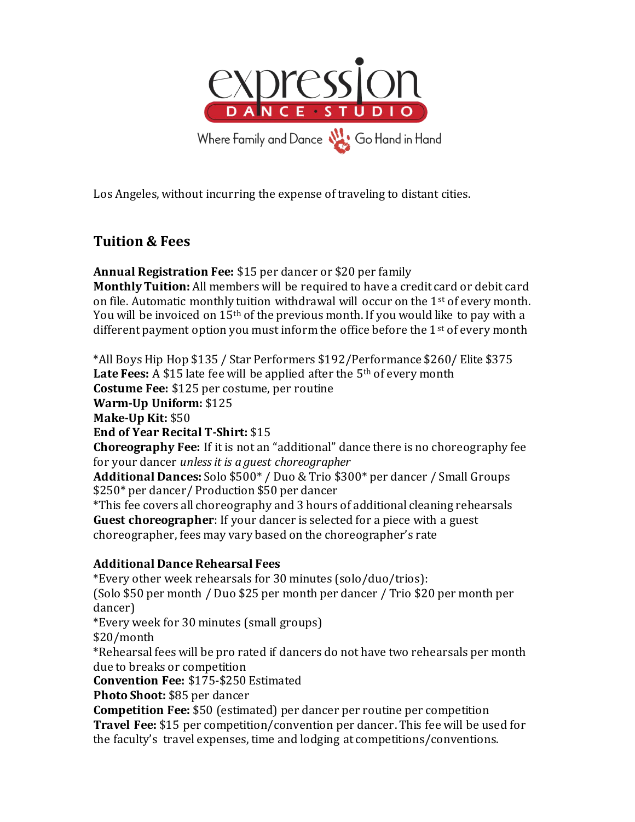

Los Angeles, without incurring the expense of traveling to distant cities.

# **Tuition & Fees**

**Annual Registration Fee:** \$15 per dancer or \$20 per family

**Monthly Tuition:** All members will be required to have a credit card or debit card on file. Automatic monthly tuition withdrawal will occur on the  $1<sup>st</sup>$  of every month. You will be invoiced on 15th of the previous month. If you would like to pay with a different payment option you must inform the office before the  $1<sup>st</sup>$  of every month

\*All Boys Hip Hop \$135 / Star Performers \$192/Performance \$260/ Elite \$375 Late Fees: A \$15 late fee will be applied after the 5<sup>th</sup> of every month **Costume Fee:** \$125 per costume, per routine **Warm-Up Uniform:** \$125 **Make-Up Kit:** \$50 **End of Year Recital T-Shirt:** \$15 **Choreography Fee:** If it is not an "additional" dance there is no choreography fee for your dancer *unless it is a guest choreographer* **Additional Dances:**Solo \$500\* / Duo & Trio \$300\* per dancer / Small Groups \$250\* per dancer/ Production \$50 per dancer \*This fee covers all choreography and 3 hours of additional cleaning rehearsals **Guest choreographer**: If your dancer is selected for a piece with a guest choreographer, fees may vary based on the choreographer's rate **Additional Dance Rehearsal Fees** \*Every other week rehearsals for 30 minutes (solo/duo/trios): (Solo \$50 per month / Duo \$25 per month per dancer / Trio \$20 per month per dancer)

\*Every week for 30 minutes (small groups)

\$20/month

\*Rehearsal fees will be pro rated if dancers do not have two rehearsals per month due to breaks or competition

**Convention Fee:** \$175-\$250 Estimated

**Photo Shoot:** \$85 per dancer

**Competition Fee:** \$50 (estimated) per dancer per routine per competition **Travel Fee:** \$15 per competition/convention per dancer. This fee will be used for the faculty's travel expenses, time and lodging at competitions/conventions.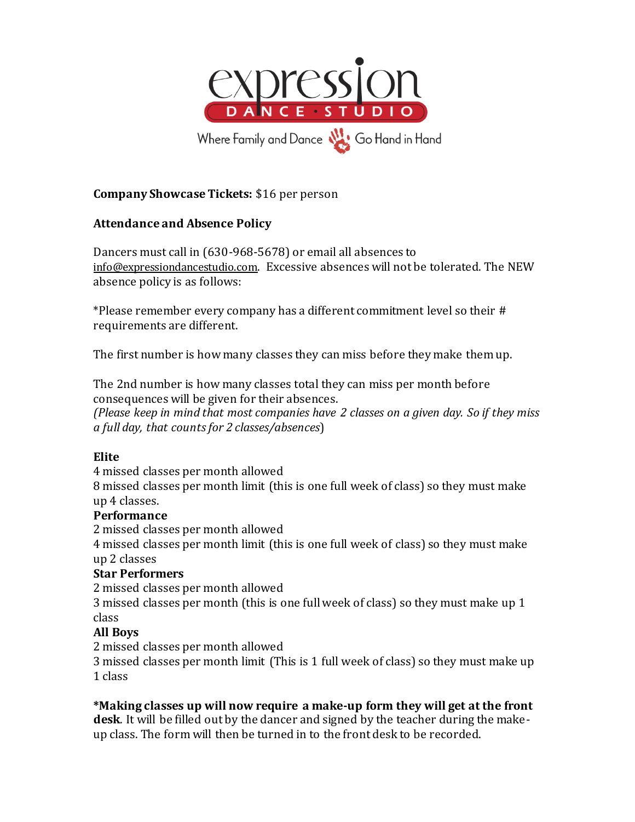

### **Company Showcase Tickets:** \$16 per person

### **Attendance and Absence Policy**

Dancers must call in (630-968-5678) or email all absences to [info@expressiondancestudio.com](mailto:info@expressiondancestudio.com). Excessive absences will not be tolerated. The NEW absence policy is as follows:

\*Please remember every company has a different commitment level so their # requirements are different.

The first number is how many classes they can miss before they make them up.

The 2nd number is how many classes total they can miss per month before consequences will be given for their absences.

*(Please keep in mind that most companies have 2 classes on a given day. So if they miss a full day, that counts for 2 classes/absences*)

### **Elite**

4 missed classes per month allowed

8 missed classes per month limit (this is one full week of class) so they must make up 4 classes.

### **Performance**

2 missed classes per month allowed

4 missed classes per month limit (this is one full week of class) so they must make up 2 classes

### **Star Performers**

2 missed classes per month allowed

3 missed classes per month (this is one full week of class) so they must make up 1 class

### **All Boys**

2 missed classes per month allowed

3 missed classes per month limit (This is 1 full week of class) so they must make up 1 class

### **\*Making classes up will now require a make-up form they will get at the front**

**desk**. It will be filled out by the dancer and signed by the teacher during the makeup class. The form will then be turned in to the front desk to be recorded.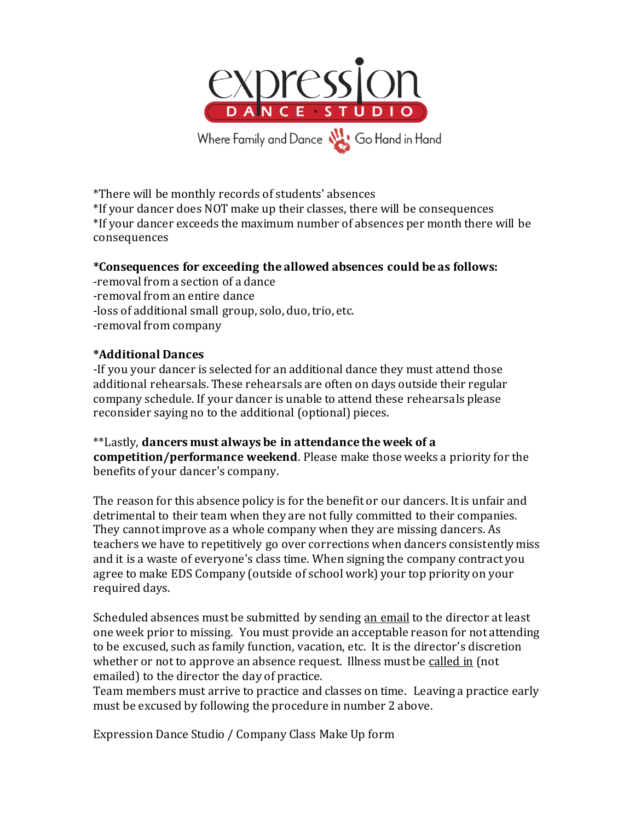

\*There will be monthly records of students' absences \*If your dancer does NOT make up their classes, there will be consequences \*If your dancer exceeds the maximum number of absences per month there will be consequences

### **\*Consequences for exceeding the allowed absences could be as follows:**

-removal from a section of a dance -removal from an entire dance -loss of additional small group, solo, duo, trio, etc. -removal from company

#### **\*Additional Dances**

-If you your dancer is selected for an additional dance they must attend those additional rehearsals. These rehearsals are often on days outside their regular company schedule. If your dancer is unable to attend these rehearsals please reconsider saying no to the additional (optional) pieces.

\*\*Lastly, **dancers must always be in attendance the week of a competition/performance weekend**. Please make those weeks a priority for the benefits of your dancer's company.

The reason for this absence policy is for the benefit or our dancers. It is unfair and detrimental to their team when they are not fully committed to their companies. They cannot improve as a whole company when they are missing dancers. As teachers we have to repetitively go over corrections when dancers consistently miss and it is a waste of everyone's class time. When signing the company contract you agree to make EDS Company (outside of school work) your top priority on your required days.

Scheduled absences must be submitted by sending an email to the director at least one week prior to missing. You must provide an acceptable reason for not attending to be excused, such as family function, vacation, etc. It is the director's discretion whether or not to approve an absence request. Illness must be called in (not emailed) to the director the day of practice.

Team members must arrive to practice and classes on time. Leaving a practice early must be excused by following the procedure in number 2 above.

Expression Dance Studio / Company Class Make Up form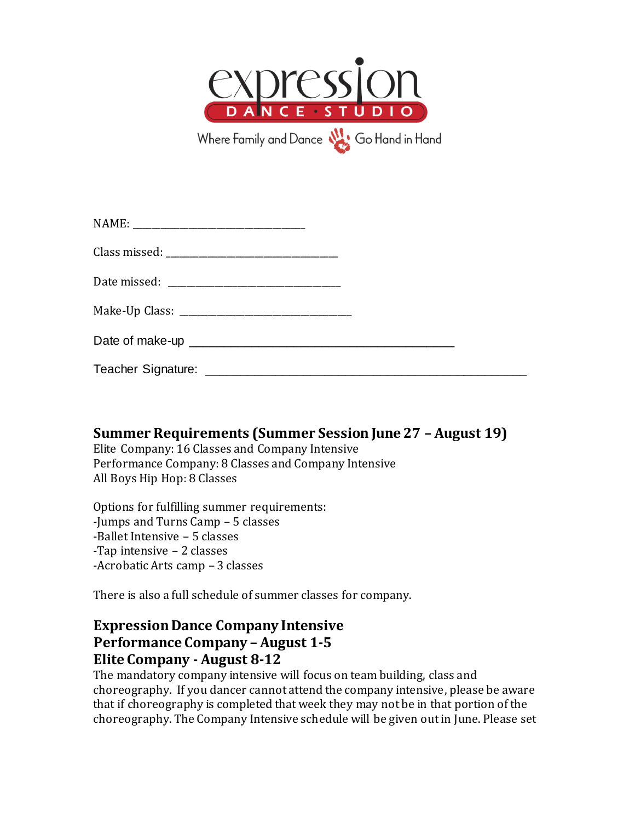

### **Summer Requirements (Summer Session June 27 – August 19)**

Elite Company: 16 Classes and Company Intensive Performance Company: 8 Classes and Company Intensive All Boys Hip Hop: 8 Classes

Options for fulfilling summer requirements: -Jumps and Turns Camp – 5 classes -Ballet Intensive – 5 classes -Tap intensive – 2 classes -Acrobatic Arts camp – 3 classes

There is also a full schedule of summer classes for company.

# **Expression Dance Company Intensive Performance Company – August 1-5 Elite Company - August 8-12**

The mandatory company intensive will focus on team building, class and choreography. If you dancer cannot attend the company intensive, please be aware that if choreography is completed that week they may not be in that portion of the choreography. The Company Intensive schedule will be given out in June. Please set